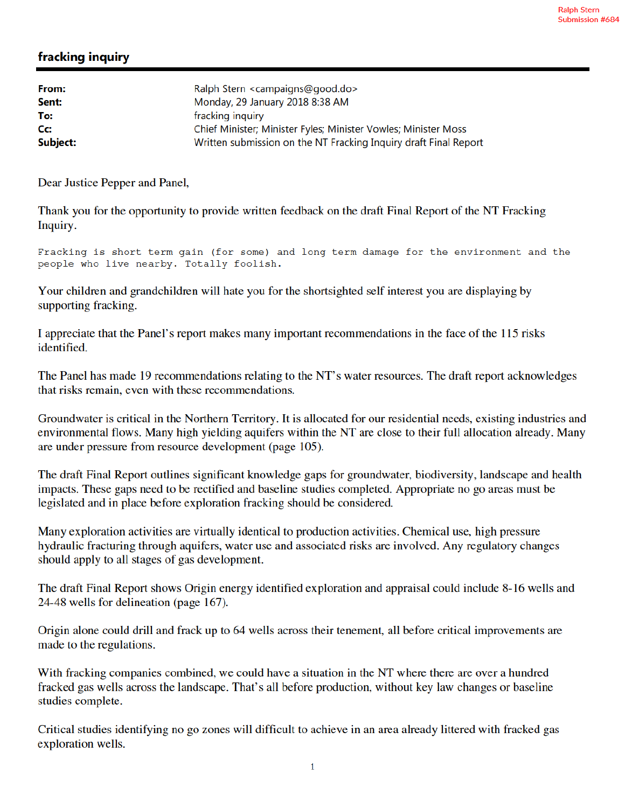## fracking inquiry

| Ralph Stern <campaigns@good.do></campaigns@good.do>              |
|------------------------------------------------------------------|
| Monday, 29 January 2018 8:38 AM                                  |
| fracking inquiry                                                 |
| Chief Minister; Minister Fyles; Minister Vowles; Minister Moss   |
| Written submission on the NT Fracking Inquiry draft Final Report |
|                                                                  |

Dear Justice Pepper and Panel,

Thank you for the opportunity to provide written feedback on the draft Final Report of the NT Fracking Inquiry.

Fracking is short term gain (for some) and long term damage for the environment and the people who live nearby. Totally foolish.

Your children and grandchildren will hate you for the shortsighted self interest you are displaying by supporting fracking.

I appreciate that the Panel's report makes many important recommendations in the face of the 115 risks identified.

The Panel has made 19 recommendations relating to the NT's water resources. The draft report acknowledges that risks remain, even with these recommendations.

Groundwater is critical in the Northern Territory. It is allocated for our residential needs, existing industries and environmental flows. Many high yielding aquifers within the NT are close to their full allocation already. Many are under pressure from resource development (page 105).

The draft Final Report outlines significant knowledge gaps for groundwater, biodiversity, landscape and health impacts. These gaps need to be rectified and baseline studies completed. Appropriate no go areas must be legislated and in place before exploration fracking should be considered.

Many exploration activities are virtually identical to production activities. Chemical use, high pressure hydraulic fracturing through aquifers, water use and associated risks are involved. Any regulatory changes should apply to all stages of gas development.

The draft Final Report shows Origin energy identified exploration and appraisal could include 8-16 wells and 24-48 wells for delineation (page 167).

Origin alone could drill and frack up to 64 wells across their tenement, all before critical improvements are made to the regulations.

With fracking companies combined, we could have a situation in the NT where there are over a hundred fracked gas wells across the landscape. That's all before production, without key law changes or baseline studies complete.

Critical studies identifying no go zones will difficult to achieve in an area already littered with fracked gas exploration wells.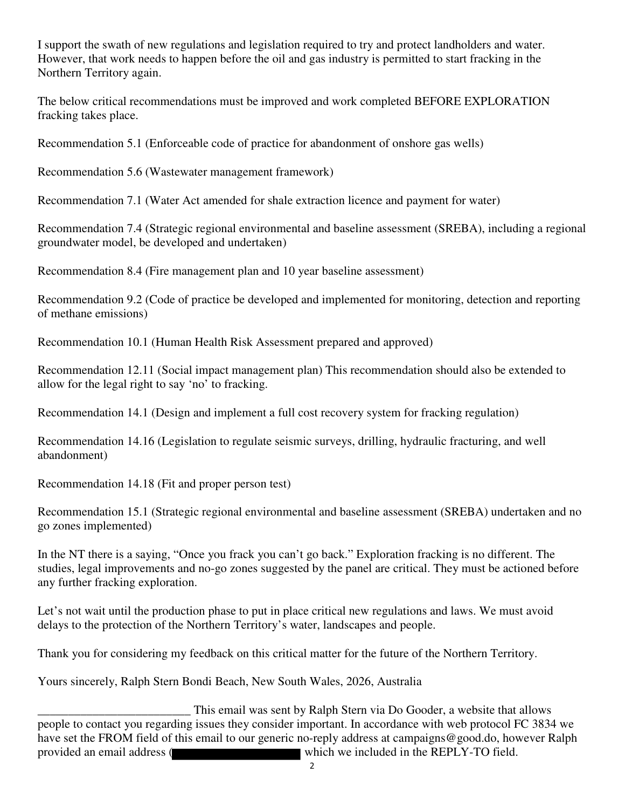I support the swath of new regulations and legislation required to try and protect landholders and water. However, that work needs to happen before the oil and gas industry is permitted to start fracking in the Northern Territory again.

The below critical recommendations must be improved and work completed BEFORE EXPLORATION fracking takes place.

Recommendation 5.1 (Enforceable code of practice for abandonment of onshore gas wells)

Recommendation 5.6 (Wastewater management framework)

Recommendation 7.1 (Water Act amended for shale extraction licence and payment for water)

Recommendation 7.4 (Strategic regional environmental and baseline assessment (SREBA), including a regional groundwater model, be developed and undertaken)

Recommendation 8.4 (Fire management plan and 10 year baseline assessment)

Recommendation 9.2 (Code of practice be developed and implemented for monitoring, detection and reporting of methane emissions)

Recommendation 10.1 (Human Health Risk Assessment prepared and approved)

Recommendation 12.11 (Social impact management plan) This recommendation should also be extended to allow for the legal right to say 'no' to fracking.

Recommendation 14.1 (Design and implement a full cost recovery system for fracking regulation)

Recommendation 14.16 (Legislation to regulate seismic surveys, drilling, hydraulic fracturing, and well abandonment)

Recommendation 14.18 (Fit and proper person test)

Recommendation 15.1 (Strategic regional environmental and baseline assessment (SREBA) undertaken and no go zones implemented)

In the NT there is a saying, "Once you frack you can't go back." Exploration fracking is no different. The studies, legal improvements and no-go zones suggested by the panel are critical. They must be actioned before any further fracking exploration.

Let's not wait until the production phase to put in place critical new regulations and laws. We must avoid delays to the protection of the Northern Territory's water, landscapes and people.

Thank you for considering my feedback on this critical matter for the future of the Northern Territory.

Yours sincerely, Ralph Stern Bondi Beach, New South Wales, 2026, Australia

This email was sent by Ralph Stern via Do Gooder, a website that allows<br>people to contact you regarding issues they consider important. In accordance with web protocol FC 3834 we have set the FROM field of this email to our generic no-reply address at campaigns@good.do, however Ralph provided an email address (**which** which we included in the REPLY-TO field.